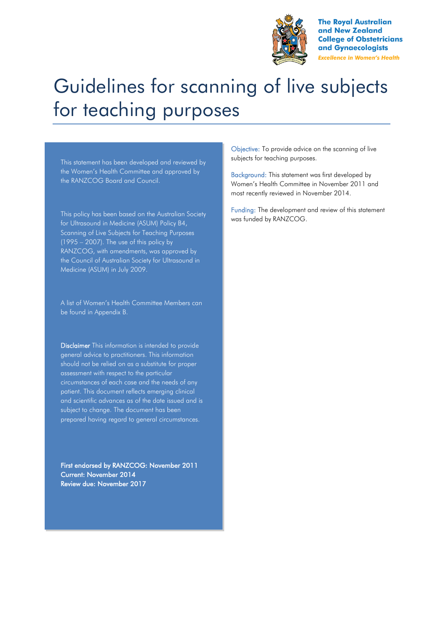

**The Royal Australian** and New Zealand **College of Obstetricians** and Gynaecologists **Excellence in Women's Health** 

# Guidelines for scanning of live subjects for teaching purposes

This statement has been developed and reviewed by the Women's Health Committee and approved by the RANZCOG Board and Council.

This policy has been based on the Australian Society for Ultrasound in Medicine (ASUM) Policy B4, Scanning of Live Subjects for Teaching Purposes (1995 – 2007). The use of this policy by RANZCOG, with amendments, was approved by the Council of Australian Society for Ultrasound in Medicine (ASUM) in July 2009.

A list of Women's Health Committee Members can be found in Appendix B.

Disclaimer This information is intended to provide general advice to practitioners. This information should not be relied on as a substitute for proper assessment with respect to the particular circumstances of each case and the needs of any patient. This document reflects emerging clinical and scientific advances as of the date issued and is subject to change. The document has been prepared having regard to general circumstances.

First endorsed by RANZCOG: November 2011 Current: November 2014 Review due: November 2017

Objective: To provide advice on the scanning of live subjects for teaching purposes.

Background: This statement was first developed by Women's Health Committee in November 2011 and most recently reviewed in November 2014.

Funding: The development and review of this statement was funded by RANZCOG.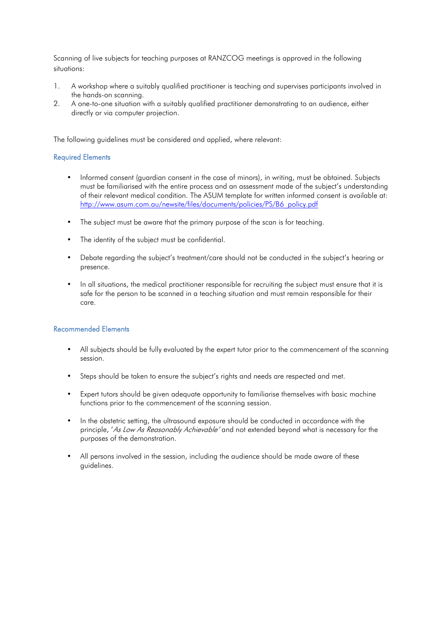Scanning of live subjects for teaching purposes at RANZCOG meetings is approved in the following situations:

- 1. A workshop where a suitably qualified practitioner is teaching and supervises participants involved in the hands-on scanning.
- 2. A one-to-one situation with a suitably qualified practitioner demonstrating to an audience, either directly or via computer projection.

The following guidelines must be considered and applied, where relevant:

#### Required Elements

- Informed consent (guardian consent in the case of minors), in writing, must be obtained. Subjects must be familiarised with the entire process and an assessment made of the subject's understanding of their relevant medical condition. The ASUM template for written informed consent is available at: [http://www.asum.com.au/newsite/files/documents/policies/PS/B6\\_policy.pdf](http://www.asum.com.au/newsite/files/documents/policies/PS/B6_policy.pdf)
- The subject must be aware that the primary purpose of the scan is for teaching.
- The identity of the subject must be confidential.
- Debate regarding the subject's treatment/care should not be conducted in the subject's hearing or presence.
- In all situations, the medical practitioner responsible for recruiting the subject must ensure that it is safe for the person to be scanned in a teaching situation and must remain responsible for their care.

#### Recommended Elements

- All subjects should be fully evaluated by the expert tutor prior to the commencement of the scanning session.
- Steps should be taken to ensure the subject's rights and needs are respected and met.
- Expert tutors should be given adequate opportunity to familiarise themselves with basic machine functions prior to the commencement of the scanning session.
- In the obstetric setting, the ultrasound exposure should be conducted in accordance with the principle, 'As Low As Reasonably Achievable' and not extended beyond what is necessary for the purposes of the demonstration.
- All persons involved in the session, including the audience should be made aware of these guidelines.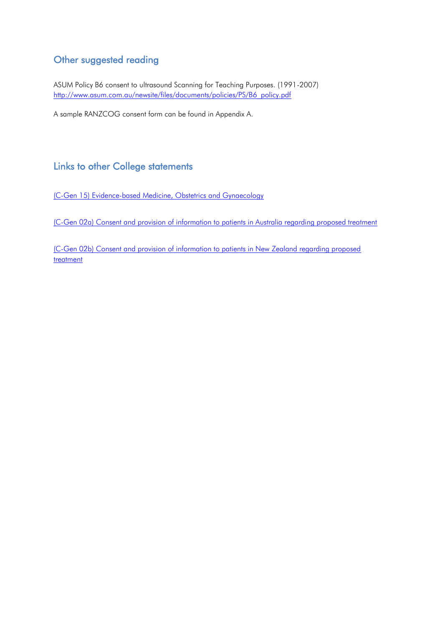### Other suggested reading

ASUM Policy B6 consent to ultrasound Scanning for Teaching Purposes. (1991-2007) [http://www.asum.com.au/newsite/files/documents/policies/PS/B6\\_policy.pdf](http://www.asum.com.au/newsite/files/documents/policies/PS/B6_policy.pdf)

A sample RANZCOG consent form can be found in Appendix A.

### Links to other College statements

[\(C-Gen 15\) Evidence-based Medicine, Obstetrics and Gynaecology](https://www.ranzcog.edu.au/RANZCOG_SITE/media/RANZCOG-MEDIA/Women%27s%20Health/Statement%20and%20guidelines/Clinical%20-%20General/Evidence-based-medicine,-Obstetrics-and-Gynaecology-(C-Gen-15)-Review-March-2016.pdf?ext=.pdf)

[\(C-Gen 02a\) Consent and provision of information to patients in Australia regarding proposed treatment](https://www.ranzcog.edu.au/RANZCOG_SITE/media/RANZCOG-MEDIA/Women%27s%20Health/Statement%20and%20guidelines/Clinical%20-%20General/Consent-and-provision-of-information-to-patients-in-Australia-(C-Gen-2a)-Review-July-2016.pdf?ext=.pdf)

[\(C-Gen 02b\) Consent and provision of information to patients in New Zealand regarding proposed](https://www.ranzcog.edu.au/RANZCOG_SITE/media/RANZCOG-MEDIA/Women%27s%20Health/Statement%20and%20guidelines/Clinical%20-%20General/Consent-and-provision-of-information-NZ-(C-Gen-2b)-Review-March-2016.pdf?ext=.pdf)  [treatment](https://www.ranzcog.edu.au/RANZCOG_SITE/media/RANZCOG-MEDIA/Women%27s%20Health/Statement%20and%20guidelines/Clinical%20-%20General/Consent-and-provision-of-information-NZ-(C-Gen-2b)-Review-March-2016.pdf?ext=.pdf)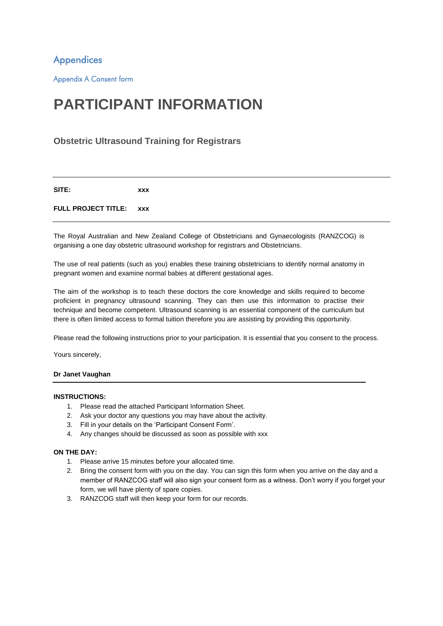Appendices

Appendix A Consent form

## **PARTICIPANT INFORMATION**

#### **Obstetric Ultrasound Training for Registrars**

**SITE: xxx**

#### **FULL PROJECT TITLE: xxx**

The Royal Australian and New Zealand College of Obstetricians and Gynaecologists (RANZCOG) is organising a one day obstetric ultrasound workshop for registrars and Obstetricians.

The use of real patients (such as you) enables these training obstetricians to identify normal anatomy in pregnant women and examine normal babies at different gestational ages.

The aim of the workshop is to teach these doctors the core knowledge and skills required to become proficient in pregnancy ultrasound scanning. They can then use this information to practise their technique and become competent. Ultrasound scanning is an essential component of the curriculum but there is often limited access to formal tuition therefore you are assisting by providing this opportunity.

Please read the following instructions prior to your participation. It is essential that you consent to the process.

Yours sincerely,

#### **Dr Janet Vaughan**

#### **INSTRUCTIONS:**

- 1. Please read the attached Participant Information Sheet.
- 2. Ask your doctor any questions you may have about the activity.
- 3. Fill in your details on the 'Participant Consent Form'.
- 4. Any changes should be discussed as soon as possible with xxx

#### **ON THE DAY:**

- 1. Please arrive 15 minutes before your allocated time.
- 2. Bring the consent form with you on the day. You can sign this form when you arrive on the day and a member of RANZCOG staff will also sign your consent form as a witness. Don't worry if you forget your form, we will have plenty of spare copies.
- 3. RANZCOG staff will then keep your form for our records.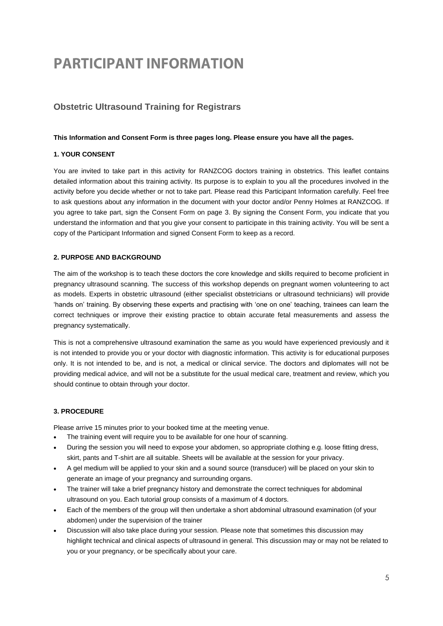## **PARTICIPANT INFORMATION**

### **Obstetric Ultrasound Training for Registrars**

#### **This Information and Consent Form is three pages long. Please ensure you have all the pages.**

#### **1. YOUR CONSENT**

You are invited to take part in this activity for RANZCOG doctors training in obstetrics. This leaflet contains detailed information about this training activity. Its purpose is to explain to you all the procedures involved in the activity before you decide whether or not to take part. Please read this Participant Information carefully. Feel free to ask questions about any information in the document with your doctor and/or Penny Holmes at RANZCOG. If you agree to take part, sign the Consent Form on page 3. By signing the Consent Form, you indicate that you understand the information and that you give your consent to participate in this training activity. You will be sent a copy of the Participant Information and signed Consent Form to keep as a record.

#### **2. PURPOSE AND BACKGROUND**

The aim of the workshop is to teach these doctors the core knowledge and skills required to become proficient in pregnancy ultrasound scanning. The success of this workshop depends on pregnant women volunteering to act as models. Experts in obstetric ultrasound (either specialist obstetricians or ultrasound technicians) will provide 'hands on' training. By observing these experts and practising with 'one on one' teaching, trainees can learn the correct techniques or improve their existing practice to obtain accurate fetal measurements and assess the pregnancy systematically.

This is not a comprehensive ultrasound examination the same as you would have experienced previously and it is not intended to provide you or your doctor with diagnostic information. This activity is for educational purposes only. It is not intended to be, and is not, a medical or clinical service. The doctors and diplomates will not be providing medical advice, and will not be a substitute for the usual medical care, treatment and review, which you should continue to obtain through your doctor.

#### **3. PROCEDURE**

Please arrive 15 minutes prior to your booked time at the meeting venue.

- The training event will require you to be available for one hour of scanning.
- During the session you will need to expose your abdomen, so appropriate clothing e.g. loose fitting dress, skirt, pants and T-shirt are all suitable. Sheets will be available at the session for your privacy.
- A gel medium will be applied to your skin and a sound source (transducer) will be placed on your skin to generate an image of your pregnancy and surrounding organs.
- The trainer will take a brief pregnancy history and demonstrate the correct techniques for abdominal ultrasound on you. Each tutorial group consists of a maximum of 4 doctors.
- Each of the members of the group will then undertake a short abdominal ultrasound examination (of your abdomen) under the supervision of the trainer
- Discussion will also take place during your session. Please note that sometimes this discussion may highlight technical and clinical aspects of ultrasound in general. This discussion may or may not be related to you or your pregnancy, or be specifically about your care.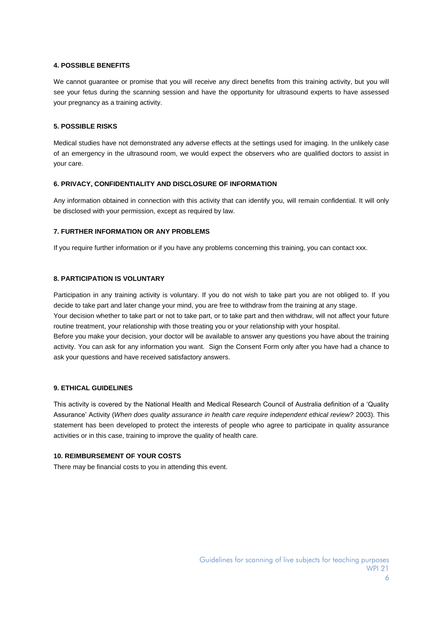#### **4. POSSIBLE BENEFITS**

We cannot guarantee or promise that you will receive any direct benefits from this training activity, but you will see your fetus during the scanning session and have the opportunity for ultrasound experts to have assessed your pregnancy as a training activity.

#### **5. POSSIBLE RISKS**

Medical studies have not demonstrated any adverse effects at the settings used for imaging. In the unlikely case of an emergency in the ultrasound room, we would expect the observers who are qualified doctors to assist in your care.

#### **6. PRIVACY, CONFIDENTIALITY AND DISCLOSURE OF INFORMATION**

Any information obtained in connection with this activity that can identify you, will remain confidential. It will only be disclosed with your permission, except as required by law.

#### **7. FURTHER INFORMATION OR ANY PROBLEMS**

If you require further information or if you have any problems concerning this training, you can contact xxx.

#### **8. PARTICIPATION IS VOLUNTARY**

Participation in any training activity is voluntary. If you do not wish to take part you are not obliged to. If you decide to take part and later change your mind, you are free to withdraw from the training at any stage.

Your decision whether to take part or not to take part, or to take part and then withdraw, will not affect your future routine treatment, your relationship with those treating you or your relationship with your hospital.

Before you make your decision, your doctor will be available to answer any questions you have about the training activity. You can ask for any information you want. Sign the Consent Form only after you have had a chance to ask your questions and have received satisfactory answers.

#### **9. ETHICAL GUIDELINES**

This activity is covered by the National Health and Medical Research Council of Australia definition of a 'Quality Assurance' Activity (*When does quality assurance in health care require independent ethical review?* 2003). This statement has been developed to protect the interests of people who agree to participate in quality assurance activities or in this case, training to improve the quality of health care.

#### **10. REIMBURSEMENT OF YOUR COSTS**

There may be financial costs to you in attending this event.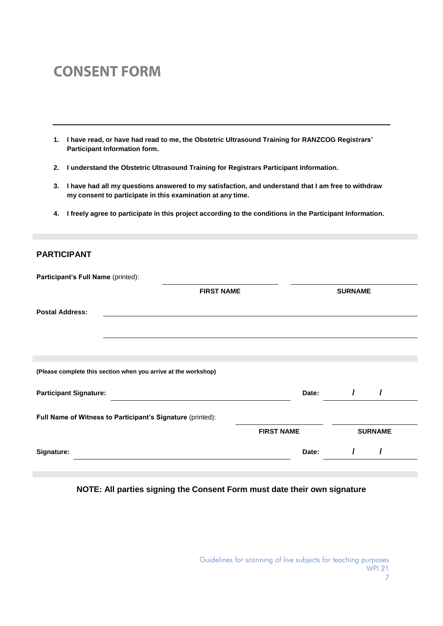## **CONSENT FORM**

- **1. I have read, or have had read to me, the Obstetric Ultrasound Training for RANZCOG Registrars' Participant Information form.**
- **2. I understand the Obstetric Ultrasound Training for Registrars Participant Information.**
- **3. I have had all my questions answered to my satisfaction, and understand that I am free to withdraw my consent to participate in this examination at any time.**
- **4. I freely agree to participate in this project according to the conditions in the Participant Information.**

#### **PARTICIPANT**

| Participant's Full Name (printed): |                                                                |                   |                |  |
|------------------------------------|----------------------------------------------------------------|-------------------|----------------|--|
|                                    | <b>FIRST NAME</b>                                              |                   | <b>SURNAME</b> |  |
| <b>Postal Address:</b>             |                                                                |                   |                |  |
|                                    |                                                                |                   |                |  |
|                                    | (Please complete this section when you arrive at the workshop) |                   |                |  |
| <b>Participant Signature:</b>      |                                                                | Date:             |                |  |
|                                    | Full Name of Witness to Participant's Signature (printed):     |                   |                |  |
|                                    |                                                                | <b>FIRST NAME</b> | <b>SURNAME</b> |  |
| Signature:                         |                                                                | Date:             |                |  |

#### **NOTE: All parties signing the Consent Form must date their own signature**